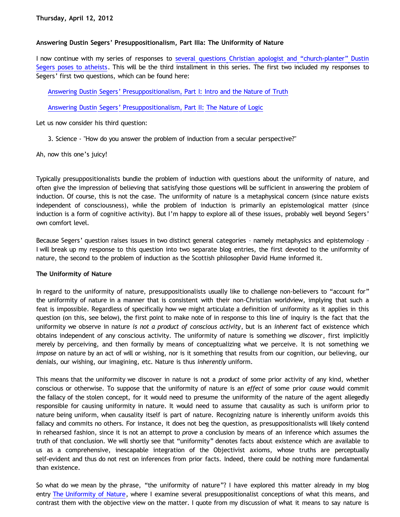## **Answering Dustin Segers' Presuppositionalism, Part IIIa: The Uniformity of Nature**

I now continue with my series of responses to [several questions Christian apologist and](http://graceinthetriad.blogspot.com/2012/03/outreach-report-reason-rally-2012.html) ["church-planter" Dustin](http://graceinthetriad.blogspot.com/2012/03/outreach-report-reason-rally-2012.html) [Segers poses to atheists](http://graceinthetriad.blogspot.com/2012/03/outreach-report-reason-rally-2012.html). This will be the third installment in this series. The first two included my responses to Segers' first two questions, which can be found here:

[Answering Dustin Segers' Presuppositionalism, Part I: Intro and the Nature of Truth](http://bahnsenburner.blogspot.com/2012/04/answering-dustin-segers.html)

[Answering Dustin Segers' Presuppositionalism, Part II: The Nature of Logic](http://bahnsenburner.blogspot.com/2012/04/answering-dustin-segers_08.html)

Let us now consider his third question:

3. Science - "How do you answer the problem of induction from a secular perspective?"

Ah, now this one's juicy!

Typically presuppositionalists bundle the problem of induction with questions about the uniformity of nature, and often give the impression of believing that satisfying those questions will be sufficient in answering the problem of induction. Of course, this is not the case. The uniformity of nature is a metaphysical concern (since nature exists independent of consciousness), while the problem of induction is primarily an epistemological matter (since induction is a form of cognitive activity). But I'm happy to explore all of these issues, probably well beyond Segers' own comfort level.

Because Segers' question raises issues in two distinct general categories – namely metaphysics and epistemology – I will break up my response to this question into two separate blog entries, the first devoted to the uniformity of nature, the second to the problem of induction as the Scottish philosopher David Hume informed it.

## **The Uniformity of Nature**

In regard to the uniformity of nature, presuppositionalists usually like to challenge non-believers to "account for" the uniformity of nature in a manner that is consistent with their non-Christian worldview, implying that such a feat is impossible. Regardless of specifically how we might articulate a definition of uniformity as it applies in this question (on this, see below), the first point to make note of in response to this line of inquiry is the fact that the uniformity we observe in nature *is not a product of conscious activity*, but is an *inherent* fact of existence which obtains independent of any conscious activity. The uniformity of nature is something we *discover*, first implicitly merely by perceiving, and then formally by means of conceptualizing what we perceive. It is not something we *impose* on nature by an act of will or wishing, nor is it something that results from our cognition, our believing, our denials, our wishing, our imagining, etc. Nature is thus *inherently* uniform.

This means that the uniformity we discover in nature is not a *product* of some prior activity of any kind, whether conscious or otherwise. To suppose that the uniformity of nature is an *effect* of some prior *cause* would commit the fallacy of the stolen concept, for it would need to presume the uniformity of the nature of the agent allegedly responsible for causing uniformity in nature. It would need to assume that causality as such is uniform prior to nature being uniform, when causality itself is part of nature. Recognizing nature is inherently uniform avoids this fallacy and commits no others. For instance, it does not beg the question, as presuppositionalists will likely contend in rehearsed fashion, since it is not an attempt to *prove* a conclusion by means of an inference which assumes the truth of that conclusion. We will shortly see that "uniformity" denotes facts about existence which are available to us as a comprehensive, inescapable integration of the Objectivist axioms, whose truths are perceptually self-evident and thus do not rest on inferences from prior facts. Indeed, there could be nothing more fundamental than existence.

So what do we mean by the phrase, "the uniformity of nature"? I have explored this matter already in my blog entry [The Uniformity of Nature,](http://bahnsenburner.blogspot.com/2010/02/uniformity-of-nature.html) where I examine several presuppositionalist conceptions of what this means, and contrast them with the objective view on the matter. I quote from my discussion of what it means to say nature is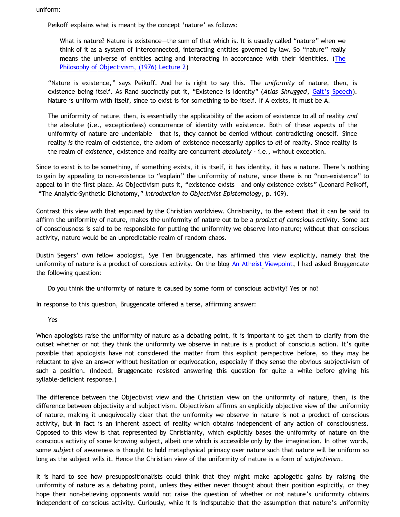uniform:

Peikoff explains what is meant by the concept 'nature' as follows:

What is nature? Nature is existence—the sum of that which is. It is usually called "nature" when we think of it as a system of interconnected, interacting entities governed by law. So "nature" really means the universe of entities acting and interacting in accordance with their identities. ([The](http://aynrandlexicon.com/lexicon/nature.html) [Philosophy of Objectivism, \(1976\) Lecture 2](http://aynrandlexicon.com/lexicon/nature.html))

"Nature is existence," says Peikoff. And he is right to say this. The *uniformity* of nature, then, is existence being itself. As Rand succinctly put it, "Existence is Identity" (*Atlas Shrugged*, [Galt's Speech](http://jvwisdom.com/jv/joint-venture-videos/john-galt-speech.html)). Nature is uniform with itself, since to exist is for something to be itself. If A exists, it must be A.

The uniformity of nature, then, is essentially the applicability of the axiom of existence to all of reality *and* the absolute (i.e., exceptionless) concurrence of identity with existence. Both of these aspects of the uniformity of nature are undeniable – that is, they cannot be denied without contradicting oneself. Since reality *is* the realm of existence, the axiom of existence necessarily applies to *all* of reality. Since reality is the realm of *existence*, existence and reality are concurrent *absolutely* - i.e., without exception.

Since to exist is to be something, if something exists, it is itself, it has identity, it has a nature. There's nothing to gain by appealing to non-existence to "explain" the uniformity of nature, since there is no "non-existence" to appeal to in the first place. As Objectivism puts it, "existence exists – and only existence exists" (Leonard Peikoff, "The Analytic-Synthetic Dichotomy," *Introduction to Objectivist Epistemology*, p. 109).

Contrast this view with that espoused by the Christian worldview. Christianity, to the extent that it can be said to affirm the uniformity of nature, makes the uniformity of nature out to be a *product of conscious activity*. Some act of consciousness is said to be responsible for putting the uniformity we observe into nature; without that conscious activity, nature would be an unpredictable realm of random chaos.

Dustin Segers' own fellow apologist, Sye Ten Bruggencate, has affirmed this view explicitly, namely that the uniformity of nature is a product of conscious activity. On the blog [An Atheist Viewpoint](http://anatheistviewpoint.blogspot.com/2011/11/were-still-waiting-for-sye-to-answer.html), I had asked Bruggencate the following question:

Do you think the uniformity of nature is caused by some form of conscious activity? Yes or no?

In response to this question, Bruggencate offered a terse, affirming answer:

Yes

When apologists raise the uniformity of nature as a debating point, it is important to get them to clarify from the outset whether or not they think the uniformity we observe in nature is a product of conscious action. It's quite possible that apologists have not considered the matter from this explicit perspective before, so they may be reluctant to give an answer without hesitation or equivocation, especially if they sense the obvious subjectivism of such a position. (Indeed, Bruggencate resisted answering this question for quite a while before giving his syllable-deficient response.)

The difference between the Objectivist view and the Christian view on the uniformity of nature, then, is the difference between objectivity and subjectivism. Objectivism affirms an explicitly objective view of the uniformity of nature, making it unequivocally clear that the uniformity we observe in nature is not a product of conscious activity, but in fact is an inherent aspect of reality which obtains independent of any action of consciousness. Opposed to this view is that represented by Christianity, which explicitly bases the uniformity of nature on the conscious activity of some knowing subject, albeit one which is accessible only by the imagination. In other words, some *subject* of awareness is thought to hold metaphysical primacy over nature such that nature will be uniform so long as the subject wills it. Hence the Christian view of the uniformity of nature is a form of *subjectivism*.

It is hard to see how presuppositionalists could think that they might make apologetic gains by raising the uniformity of nature as a debating point, unless they either never thought about their position explicitly, or they hope their non-believing opponents would not raise the question of whether or not nature's uniformity obtains independent of conscious activity. Curiously, while it is indisputable that the assumption that nature's uniformity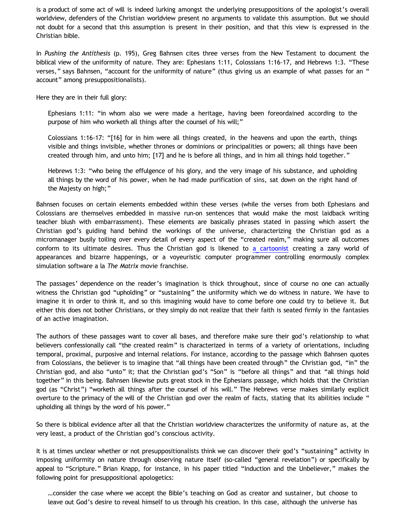is a product of some act of will is indeed lurking amongst the underlying presuppositions of the apologist's overall worldview, defenders of the Christian worldview present no arguments to validate this assumption. But we should not doubt for a second that this assumption is present in their position, and that this view is expressed in the Christian bible.

In *Pushing the Antithesis* (p. 195), Greg Bahnsen cites three verses from the New Testament to document the biblical view of the uniformity of nature. They are: Ephesians 1:11, Colossians 1:16-17, and Hebrews 1:3. "These verses," says Bahnsen, "account for the uniformity of nature" (thus giving us an example of what passes for an " account" among presuppositionalists).

Here they are in their full glory:

Ephesians 1:11: "in whom also we were made a heritage, having been foreordained according to the purpose of him who worketh all things after the counsel of his will;"

Colossians 1:16-17: "[16] for in him were all things created, in the heavens and upon the earth, things visible and things invisible, whether thrones or dominions or principalities or powers; all things have been created through him, and unto him; [17] and he is before all things, and in him all things hold together."

Hebrews 1:3: "who being the effulgence of his glory, and the very image of his substance, and upholding all things by the word of his power, when he had made purification of sins, sat down on the right hand of the Majesty on high;"

Bahnsen focuses on certain elements embedded within these verses (while the verses from both Ephesians and Colossians are themselves embedded in massive run-on sentences that would make the most laidback writing teacher blush with embarrassment). These elements are basically phrases stated in passing which assert the Christian god's guiding hand behind the workings of the universe, characterizing the Christian god as a micromanager busily toiling over every detail of every aspect of the "created realm," making sure all outcomes conform to its ultimate desires. Thus the Christian god is likened to [a cartoonist](http://katholon.com/Cartoon_Universe_of_Christianity.htm) creating a zany world of appearances and bizarre happenings, or a voyeuristic computer programmer controlling enormously complex simulation software a la *The Matrix* movie franchise.

The passages' dependence on the reader's imagination is thick throughout, since of course no one can actually witness the Christian god "upholding" or "sustaining" the uniformity which we do witness in nature. We have to imagine it in order to think it, and so this imagining would have to come before one could try to believe it. But either this does not bother Christians, or they simply do not realize that their faith is seated firmly in the fantasies of an active imagination.

The authors of these passages want to cover all bases, and therefore make sure their god's relationship to what believers confessionally call "the created realm" is characterized in terms of a variety of orientations, including temporal, proximal, purposive and internal relations. For instance, according to the passage which Bahnsen quotes from Colossians, the believer is to imagine that "all things have been created through" the Christian god, "in" the Christian god, and also "unto" it; that the Christian god's "Son" is "before all things" and that "all things hold together" in this being. Bahnsen likewise puts great stock in the Ephesians passage, which holds that the Christian god (as "Christ") "worketh all things after the counsel of his will." The Hebrews verse makes similarly explicit overture to the primacy of the will of the Christian god over the realm of facts, stating that its abilities include " upholding all things by the word of his power."

So there is biblical evidence after all that the Christian worldview characterizes the uniformity of nature as, at the very least, a product of the Christian god's conscious activity.

It is at times unclear whether or not presuppositionalists think we can discover their god's "sustaining" activity in imposing uniformity on nature through observing nature itself (so-called "general revelation") or specifically by appeal to "Scripture." Brian Knapp, for instance, in his paper titled "Induction and the Unbeliever," makes the following point for presuppositional apologetics:

…consider the case where we accept the Bible's teaching on God as creator and sustainer, but choose to leave out God's desire to reveal himself to us through his creation. In this case, although the universe has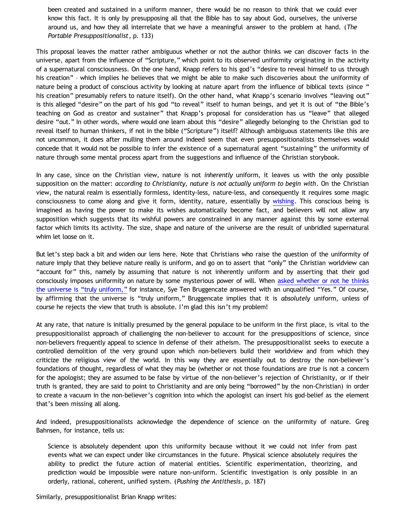been created and sustained in a uniform manner, there would be no reason to think that we could ever know this fact. It is only by presupposing all that the Bible has to say about God, ourselves, the universe around us, and how they all interrelate that we have a meaningful answer to the problem at hand. (*The Portable Presuppositionalist*, p. 133)

This proposal leaves the matter rather ambiguous whether or not the author thinks we can discover facts in the universe, apart from the influence of "Scripture," which point to its observed uniformity originating in the activity of a supernatural consciousness. On the one hand, Knapp refers to his god's "desire to reveal himself to us through his creation" – which implies he believes that we might be able to make such discoveries about the uniformity of nature being a product of conscious activity by looking at nature apart from the influence of biblical texts (since " his creation" presumably refers to nature itself). On the other hand, what Knapp's scenario involves "leaving out" is this alleged "desire" on the part of his god "to reveal" itself to human beings, and yet it is out of "the Bible's teaching on God as creator and sustainer" that Knapp's proposal for consideration has us "leave" that alleged desire "out." In other words, where would one learn about this "desire" allegedly belonging to the Christian god to reveal itself to human thinkers, if not in the bible ("Scripture") itself? Although ambiguous statements like this are not uncommon, it does after mulling them around indeed seem that even presuppositionalists themselves would concede that it would not be possible to infer the existence of a supernatural agent "sustaining" the uniformity of nature through some mental process apart from the suggestions and influence of the Christian storybook.

In any case, since on the Christian view, nature is not *inherently* uniform, it leaves us with the only possible supposition on the matter: *according to Christianity, nature is not actually uniform to begin with*. On the Christian view, the natural realm is essentially formless, identity-less, nature-less, and consequently it requires some magic consciousness to come along and give it form, identity, nature, essentially by [wishing.](http://bahnsenburner.blogspot.com/2006/12/wishing-and-christian-deity.html) This conscious being is imagined as having the power to make its wishes automatically become fact, and believers will not allow any supposition which suggests that its wishful powers are constrained in any manner against this by some external factor which limits its activity. The size, shape and nature of the universe are the result of unbridled supernatural whim let loose on it.

But let's step back a bit and widen our lens here. Note that Christians who raise the question of the uniformity of nature imply that they believe nature really is uniform, and go on to assert that "only" the Christian worldview can "account for" this, namely by assuming that nature is not inherently uniform and by asserting that their god consciously imposes uniformity on nature by some mysterious power of will. When [asked whether or not he thinks](http://anatheistviewpoint.blogspot.com/2011/11/were-still-waiting-for-sye-to-answer.html) [the universe is](http://anatheistviewpoint.blogspot.com/2011/11/were-still-waiting-for-sye-to-answer.html) ["truly uniform,"](http://anatheistviewpoint.blogspot.com/2011/11/were-still-waiting-for-sye-to-answer.html) for instance, Sye Ten Bruggencate answered with an unqualified "Yes." Of course, by affirming that the universe is "truly uniform," Bruggencate implies that it is *absolutely* uniform, unless of course he rejects the view that truth is absolute. I'm glad this isn't my problem!

At any rate, that nature is initially presumed by the general populace to be uniform in the first place, is vital to the presuppositionalist approach of challenging the non-believer to account for the presuppositions of science, since non-believers frequently appeal to science in defense of their atheism. The presuppositionalist seeks to execute a controlled demolition of the very ground upon which non-believers build their worldview and from which they criticize the religious view of the world. In this way they are essentially out to destroy the non-believer's foundations of thought, regardless of what they may be (whether or not those foundations are *true* is not a concern for the apologist; they are assumed to be false by virtue of the non-believer's rejection of Christianity, or if their truth is granted, they are said to point to Christianity and are only being "borrowed" by the non-Christian) in order to create a vacuum in the non-believer's cognition into which the apologist can insert his god-belief as the element that's been missing all along.

And indeed, presuppositionalists acknowledge the dependence of science on the uniformity of nature. Greg Bahnsen, for instance, tells us:

Science is absolutely dependent upon this uniformity because without it we could not infer from past events what we can expect under like circumstances in the future. Physical science absolutely requires the ability to predict the future action of material entities. Scientific experimentation, theorizing, and prediction would be impossible were nature non-uniform. Scientific investigation is only possible in an orderly, rational, coherent, unified system. (*Pushing the Antithesis*, p. 187)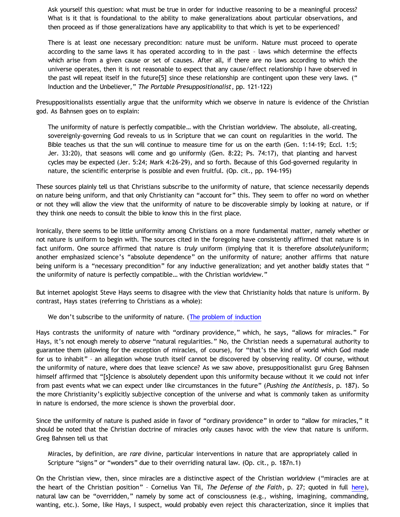Ask yourself this question: what must be true in order for inductive reasoning to be a meaningful process? What is it that is foundational to the ability to make generalizations about particular observations, and then proceed as if those generalizations have any applicability to that which is yet to be experienced?

There is at least one necessary precondition: nature must be uniform. Nature must proceed to operate according to the same laws it has operated according to in the past – laws which determine the effects which arise from a given cause or set of causes. After all, if there are no laws according to which the universe operates, then it is not reasonable to expect that any cause/effect relationship I have observed in the past will repeat itself in the future[5] since these relationship are contingent upon these very laws. (" Induction and the Unbeliever," *The Portable Presuppositionalist*, pp. 121-122)

Presuppositionalists essentially argue that the uniformity which we observe in nature is evidence of the Christian god. As Bahnsen goes on to explain:

The uniformity of nature is perfectly compatible… with the Christian worldview. The absolute, all-creating, sovereignly-governing God reveals to us in Scripture that we can count on regularities in the world. The Bible teaches us that the sun will continue to measure time for us on the earth (Gen. 1:14-19; Eccl. 1:5; Jer. 33:20), that seasons will come and go uniformly (Gen. 8:22; Ps. 74:17), that planting and harvest cycles may be expected (Jer. 5:24; Mark 4:26-29), and so forth. Because of this God-governed regularity in nature, the scientific enterprise is possible and even fruitful. (Op. cit., pp. 194-195)

These sources plainly tell us that Christians subscribe to the uniformity of nature, that science necessarily depends on nature being uniform, and that only Christianity can "account for" this. They seem to offer no word on whether or not they will allow the view that the uniformity of nature to be discoverable simply by looking at nature, or if they think one needs to consult the bible to know this in the first place.

Ironically, there seems to be little uniformity among Christians on a more fundamental matter, namely whether or not nature is uniform to begin with. The sources cited in the foregoing have consistently affirmed that nature is in fact uniform. One source affirmed that nature is *truly* uniform (implying that it is therefore *absolutely*uniform; another emphasized science's "absolute dependence" on the uniformity of nature; another affirms that nature being uniform is a "necessary precondition" for any inductive generalization; and yet another baldly states that " the uniformity of nature is perfectly compatible… with the Christian worldview."

But internet apologist Steve Hays seems to disagree with the view that Christianity holds that nature is uniform. By contrast, Hays states (referring to Christians as a whole):

We don't subscribe to the uniformity of nature. ([The problem of induction](http://triablogue.blogspot.com/2009/05/problem-of-induction.html)

Hays contrasts the uniformity of nature with "ordinary providence," which, he says, "allows for miracles." For Hays, it's not enough merely to *observe* "natural regularities." No, the Christian needs a supernatural authority to guarantee them (allowing for the exception of miracles, of course), for "that's the kind of world which God made for us to inhabit" – an allegation whose truth itself cannot be discovered by observing reality. Of course, without the uniformity of nature, where does that leave science? As we saw above, presuppositionalist guru Greg Bahnsen himself affirmed that "[s]cience is absolutely dependent upon this uniformity because without it we could not infer from past events what we can expect under like circumstances in the future" (*Pushing the Antithesis*, p. 187). So the more Christianity's explicitly subjective conception of the universe and what is commonly taken as uniformity in nature is endorsed, the more science is shown the proverbial door.

Since the uniformity of nature is pushed aside in favor of "ordinary providence" in order to "allow for miracles," it should be noted that the Christian doctrine of miracles only causes havoc with the view that nature is uniform. Greg Bahnsen tell us that

Miracles, by definition, are *rare* divine, particular interventions in nature that are appropriately called in Scripture "signs" or "wonders" due to their overriding natural law. (Op. cit., p. 187n.1)

On the Christian view, then, since miracles are a distinctive aspect of the Christian worldview ("miracles are at the heart of the Christian position" – Cornelius Van Til, *The Defense of the Faith*, p. 27; quoted in full [here](http://bahnsenburner.blogspot.com/2012/04/answering-dustin-segers.html)), natural law can be "overridden," namely by some act of consciousness (e.g., wishing, imagining, commanding, wanting, etc.). Some, like Hays, I suspect, would probably even reject this characterization, since it implies that